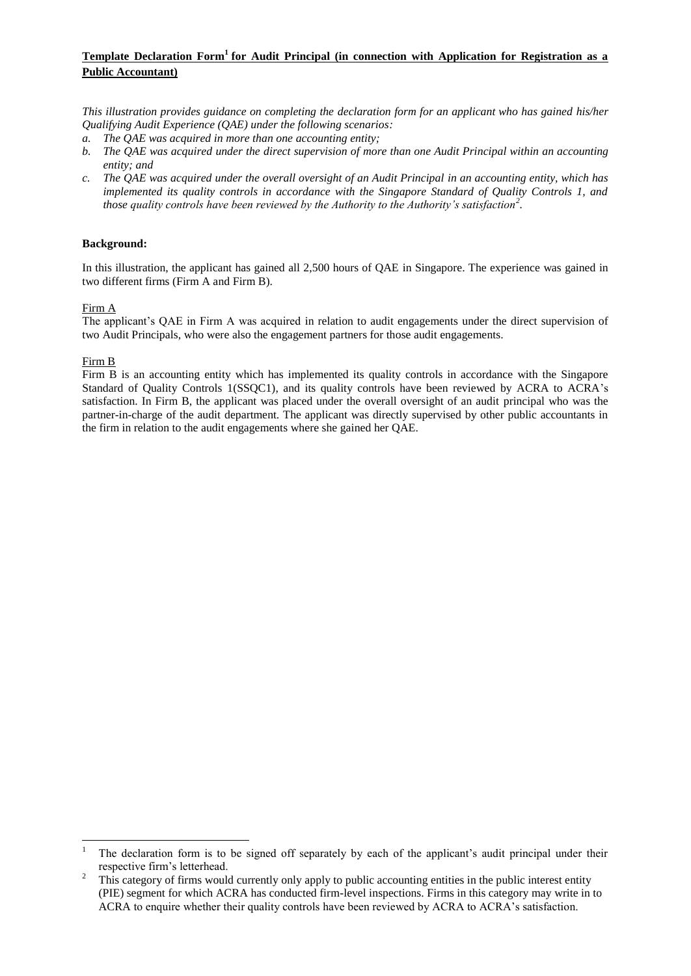# **Template Declaration Form<sup>1</sup> for Audit Principal (in connection with Application for Registration as a Public Accountant)**

*This illustration provides guidance on completing the declaration form for an applicant who has gained his/her Qualifying Audit Experience (QAE) under the following scenarios:*

- *a. The QAE was acquired in more than one accounting entity;*
- *b. The QAE was acquired under the direct supervision of more than one Audit Principal within an accounting entity; and*
- *c. The QAE was acquired under the overall oversight of an Audit Principal in an accounting entity, which has implemented its quality controls in accordance with the Singapore Standard of Quality Controls 1, and those quality controls have been reviewed by the Authority to the Authority's satisfaction<sup>2</sup> .*

### **Background:**

In this illustration, the applicant has gained all 2,500 hours of QAE in Singapore. The experience was gained in two different firms (Firm A and Firm B).

### Firm A

The applicant's QAE in Firm A was acquired in relation to audit engagements under the direct supervision of two Audit Principals, who were also the engagement partners for those audit engagements.

### Firm B

Firm B is an accounting entity which has implemented its quality controls in accordance with the Singapore Standard of Quality Controls 1(SSQC1), and its quality controls have been reviewed by ACRA to ACRA's satisfaction. In Firm B, the applicant was placed under the overall oversight of an audit principal who was the partner-in-charge of the audit department. The applicant was directly supervised by other public accountants in the firm in relation to the audit engagements where she gained her QAE.

 $\overline{a}$ <sup>1</sup> The declaration form is to be signed off separately by each of the applicant's audit principal under their respective firm's letterhead.

<sup>2</sup> This category of firms would currently only apply to public accounting entities in the public interest entity (PIE) segment for which ACRA has conducted firm-level inspections. Firms in this category may write in to ACRA to enquire whether their quality controls have been reviewed by ACRA to ACRA's satisfaction.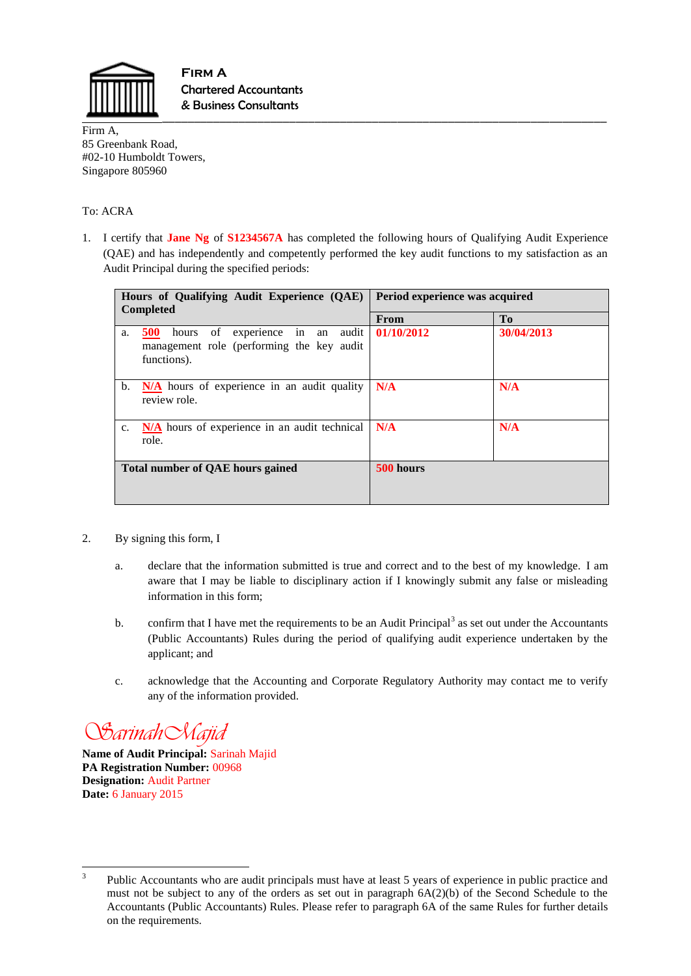

\_\_\_\_\_\_\_\_\_\_\_\_\_\_\_\_\_\_\_\_\_\_\_\_\_\_\_\_\_\_\_\_\_\_\_\_\_\_\_\_\_\_\_\_\_\_\_\_\_\_\_\_\_\_\_\_\_\_\_\_\_\_\_\_\_\_\_\_\_\_ **Firm A**  Chartered Accountants & Business Consultants

Firm A, 85 Greenbank Road, #02-10 Humboldt Towers, Singapore 805960

## To: ACRA

1. I certify that **Jane Ng** of **S1234567A** has completed the following hours of Qualifying Audit Experience (QAE) and has independently and competently performed the key audit functions to my satisfaction as an Audit Principal during the specified periods:

| Hours of Qualifying Audit Experience (QAE)                                                                                                   | Period experience was acquired |                |
|----------------------------------------------------------------------------------------------------------------------------------------------|--------------------------------|----------------|
| <b>Completed</b>                                                                                                                             | From                           | T <sub>0</sub> |
| $\overline{\text{in}}$<br>hours of experience<br><b>500</b><br>audit<br>an<br>a.<br>management role (performing the key audit<br>functions). | 01/10/2012                     | 30/04/2013     |
| N/A hours of experience in an audit quality<br>b.<br>review role.                                                                            | N/A                            | N/A            |
| N/A hours of experience in an audit technical<br>c.<br>role.                                                                                 | N/A                            | N/A            |
| <b>Total number of QAE hours gained</b>                                                                                                      | 500 hours                      |                |

- 2. By signing this form, I
	- a. declare that the information submitted is true and correct and to the best of my knowledge. I am aware that I may be liable to disciplinary action if I knowingly submit any false or misleading information in this form;
	- b. confirm that I have met the requirements to be an Audit Principal<sup>3</sup> as set out under the Accountants (Public Accountants) Rules during the period of qualifying audit experience undertaken by the applicant; and
	- c. acknowledge that the Accounting and Corporate Regulatory Authority may contact me to verify any of the information provided.

*SarinahMajid*

**Name of Audit Principal:** Sarinah Majid **PA Registration Number:** 00968 **Designation:** Audit Partner **Date:** 6 January 2015

<sup>&</sup>lt;sup>2</sup><br>3 Public Accountants who are audit principals must have at least 5 years of experience in public practice and must not be subject to any of the orders as set out in paragraph 6A(2)(b) of the Second Schedule to the Accountants (Public Accountants) Rules. Please refer to paragraph 6A of the same Rules for further details on the requirements.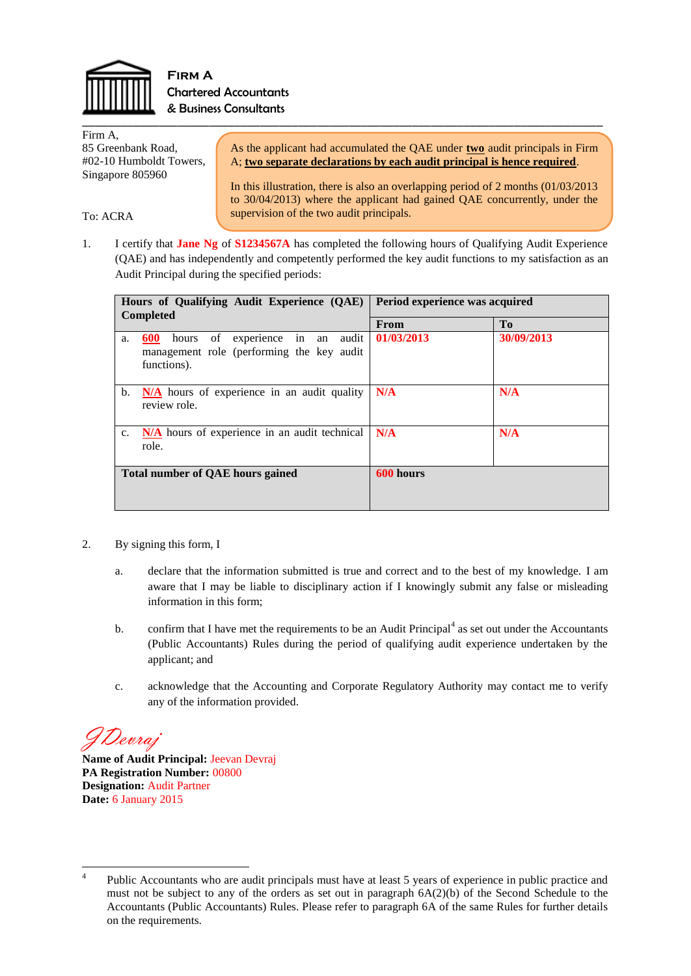

To: ACRA

\_\_\_\_\_\_\_\_\_\_\_\_\_\_\_\_\_\_\_\_\_\_\_\_\_\_\_\_\_\_\_\_\_\_\_\_\_\_\_\_\_\_\_\_\_\_\_\_\_\_\_\_\_\_\_\_\_\_\_\_\_\_\_\_\_\_\_\_\_\_\_\_\_\_\_\_\_\_\_\_\_\_ **Firm A**  Chartered Accountants & Business Consultants

Firm A, 85 Greenbank Road, #02-10 Humboldt Towers, Singapore 805960

As the applicant had accumulated the QAE under **two** audit principals in Firm A; **two separate declarations by each audit principal is hence required**.

In this illustration, there is also an overlapping period of 2 months (01/03/2013 to 30/04/2013) where the applicant had gained QAE concurrently, under the supervision of the two audit principals.

1. I certify that **Jane Ng** of **S1234567A** has completed the following hours of Qualifying Audit Experience (QAE) and has independently and competently performed the key audit functions to my satisfaction as an Audit Principal during the specified periods:

| Hours of Qualifying Audit Experience (QAE)<br><b>Completed</b>                                                       | Period experience was acquired |                |
|----------------------------------------------------------------------------------------------------------------------|--------------------------------|----------------|
|                                                                                                                      | From                           | T <sub>0</sub> |
| in an<br>of<br>600<br>experience<br>audit<br>hours<br>a.<br>management role (performing the key audit<br>functions). | 01/03/2013                     | 30/09/2013     |
| N/A hours of experience in an audit quality<br>$\mathbf{b}$ .<br>review role.                                        | N/A                            | N/A            |
| N/A hours of experience in an audit technical<br>c.<br>role.                                                         | N/A                            | N/A            |
| Total number of QAE hours gained                                                                                     | 600 hours                      |                |

- 2. By signing this form, I
	- a. declare that the information submitted is true and correct and to the best of my knowledge. I am aware that I may be liable to disciplinary action if I knowingly submit any false or misleading information in this form;
	- b. confirm that I have met the requirements to be an Audit Principal $4$  as set out under the Accountants (Public Accountants) Rules during the period of qualifying audit experience undertaken by the applicant; and
	- c. acknowledge that the Accounting and Corporate Regulatory Authority may contact me to verify any of the information provided.

JDevraj

**Name of Audit Principal:** Jeevan Devraj **PA Registration Number:** 00800 **Designation:** Audit Partner **Date:** 6 January 2015

 $\frac{1}{4}$ Public Accountants who are audit principals must have at least 5 years of experience in public practice and must not be subject to any of the orders as set out in paragraph 6A(2)(b) of the Second Schedule to the Accountants (Public Accountants) Rules. Please refer to paragraph 6A of the same Rules for further details on the requirements.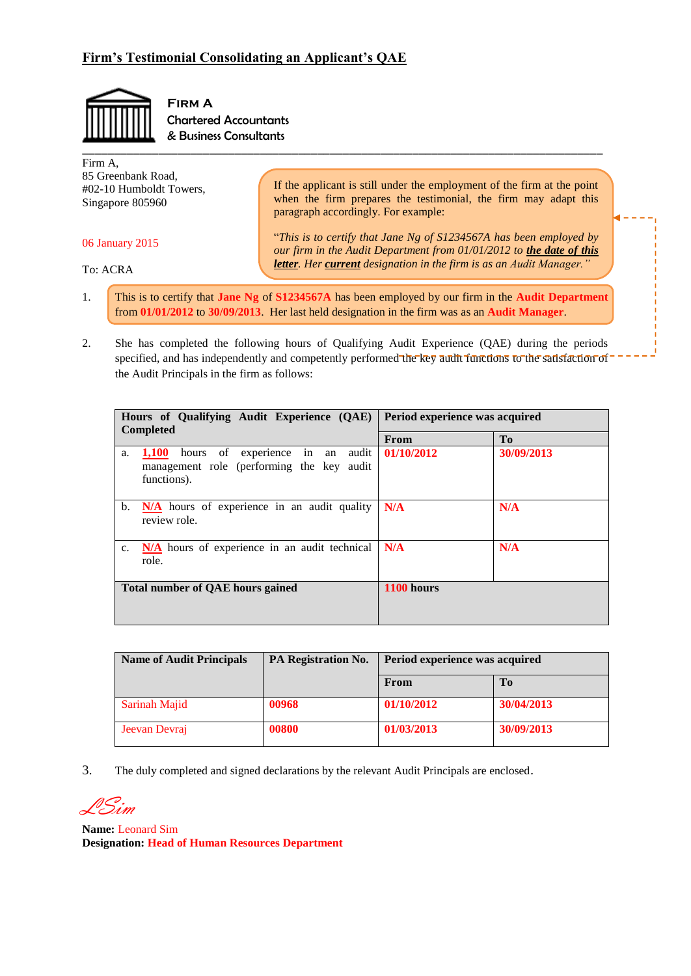

**Firm A**  Chartered Accountants & Business Consultants

| Firm A.<br>85 Greenbank Road,<br>#02-10 Humboldt Towers,<br>Singapore 805960 | If the applicant is still under the employment of the firm at the point<br>when the firm prepares the testimonial, the firm may adapt this<br>paragraph accordingly. For example: |
|------------------------------------------------------------------------------|-----------------------------------------------------------------------------------------------------------------------------------------------------------------------------------|
| 06 January 2015                                                              | "This is to certify that Jane Ng of S1234567A has been employed by<br>our firm in the Audit Department from 01/01/2012 to the date of this                                        |
| To: ACRA                                                                     | <b>letter.</b> Her current designation in the firm is as an Audit Manager."                                                                                                       |

- 1. This is to certify that **Jane Ng** of **S1234567A** has been employed by our firm in the **Audit Department** from **01/01/2012** to **30/09/2013**. Her last held designation in the firm was as an **Audit Manager**.
- 2. She has completed the following hours of Qualifying Audit Experience (QAE) during the periods specified, and has independently and competently performed the key audit functions to the satisfaction of the Audit Principals in the firm as follows:

| Hours of Qualifying Audit Experience (QAE)                                                                    | Period experience was acquired |            |
|---------------------------------------------------------------------------------------------------------------|--------------------------------|------------|
| <b>Completed</b>                                                                                              | <b>From</b>                    | Tо         |
| hours of experience in an<br>1,100<br>audit<br>a.<br>management role (performing the key audit<br>functions). | 01/10/2012                     | 30/09/2013 |
| N/A hours of experience in an audit quality<br>b.<br>review role.                                             | N/A                            | N/A        |
| N/A hours of experience in an audit technical<br>$c_{\cdot}$<br>role.                                         | N/A                            | N/A        |
| <b>Total number of QAE hours gained</b>                                                                       | 1100 hours                     |            |

| <b>Name of Audit Principals</b> | <b>PA Registration No.</b> | Period experience was acquired |            |
|---------------------------------|----------------------------|--------------------------------|------------|
|                                 |                            | From                           | Tо         |
| Sarinah Majid                   | 00968                      | 01/10/2012                     | 30/04/2013 |
| Jeevan Devraj                   | 00800                      | 01/03/2013                     | 30/09/2013 |

3. The duly completed and signed declarations by the relevant Audit Principals are enclosed.

LSim

**Name:** Leonard Sim **Designation: Head of Human Resources Department**